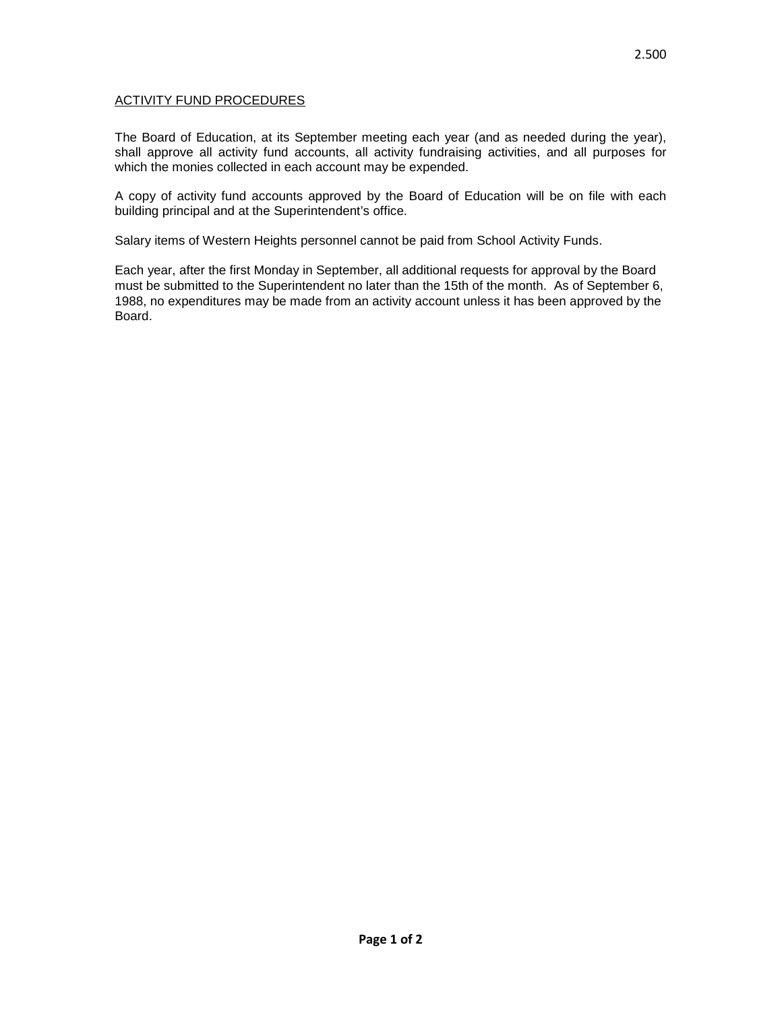## ACTIVITY FUND PROCEDURES

The Board of Education, at its September meeting each year (and as needed during the year), shall approve all activity fund accounts, all activity fundraising activities, and all purposes for which the monies collected in each account may be expended.

A copy of activity fund accounts approved by the Board of Education will be on file with each building principal and at the Superintendent's office.

Salary items of Western Heights personnel cannot be paid from School Activity Funds.

Each year, after the first Monday in September, all additional requests for approval by the Board must be submitted to the Superintendent no later than the 15th of the month. As of September 6, 1988, no expenditures may be made from an activity account unless it has been approved by the Board.